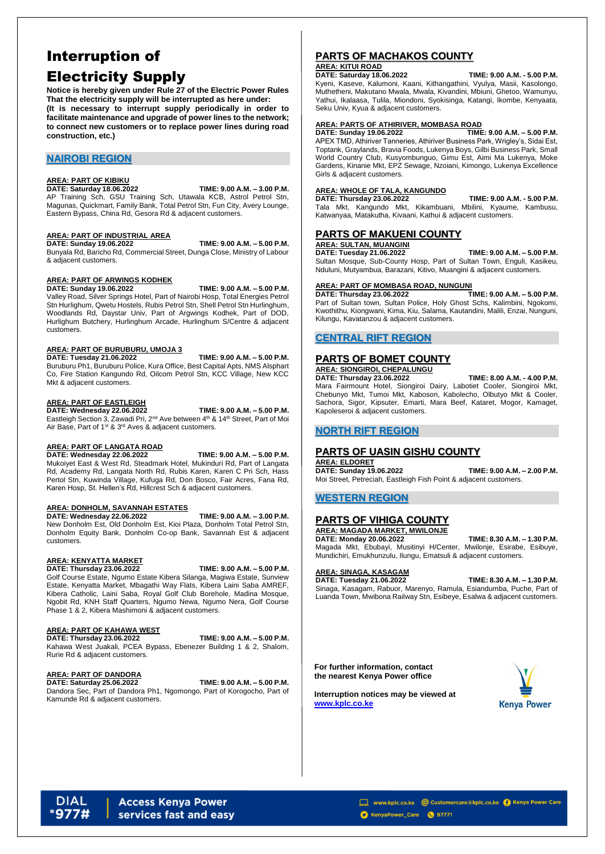# Interruption of Electricity Supply

**Notice is hereby given under Rule 27 of the Electric Power Rules That the electricity supply will be interrupted as here under: (It is necessary to interrupt supply periodically in order to facilitate maintenance and upgrade of power lines to the network; to connect new customers or to replace power lines during road construction, etc.)**

## **NAIROBI REGION**

#### **AREA: PART OF KIBIKU**

**DATE: Saturday 18.06.2022 TIME: 9.00 A.M. – 3.00 P.M.** AP Training Sch, GSU Training Sch, Utawala KCB, Astrol Petrol Stn, Magunas, Quickmart, Family Bank, Total Petrol Stn, Fun City, Avery Lounge, Eastern Bypass, China Rd, Gesora Rd & adjacent customers.

#### **AREA: PART OF INDUSTRIAL AREA**

**DATE: Sunday 19.06.2022 TIME: 9.00 A.M. – 5.00 P.M.**

**DATE: Wednesday 22.06.2022 TIME: 9.00 A.M. – 5.00 P.M.** Eastleigh Section 3, Zawadi Pri, 2<sup>nd</sup> Ave between 4<sup>th</sup> & 14<sup>th</sup> Street, Part of Moi Air Base, Part of 1<sup>st</sup> & 3<sup>rd</sup> Aves & adjacent customers.

Bunyala Rd, Baricho Rd, Commercial Street, Dunga Close, Ministry of Labour & adjacent customers.

#### **AREA: PART OF ARWINGS KODHEK**

**DATE: Sunday 19.06.2022 TIME: 9.00 A.M. – 5.00 P.M.** Valley Road, Silver Springs Hotel, Part of Nairobi Hosp, Total Energies Petrol Stn Hurlighum, Qwetu Hostels, Rubis Petrol Stn, Shell Petrol Stn Hurlinghum,

Woodlands Rd, Daystar Univ, Part of Argwings Kodhek, Part of DOD, Hurlighum Butchery, Hurlinghum Arcade, Hurlinghum S/Centre & adjacent customers.

#### **AREA: PART OF BURUBURU, UMOJA 3**

**DATE: Tuesday 21.06.2022 TIME: 9.00 A.M. – 5.00 P.M.** Buruburu Ph1, Buruburu Police, Kura Office, Best Capital Apts, NMS Alsphart Co, Fire Station Kangundo Rd, Oilcom Petrol Stn, KCC Village, New KCC

Mkt & adjacent customers.

#### **AREA: PART OF EASTLEIGH**

### **AREA: PART OF LANGATA ROAD**

**DATE: Wednesday 22.06.2022 TIME: 9.00 A.M. – 5.00 P.M.** Mukoiyet East & West Rd, Steadmark Hotel, Mukinduri Rd, Part of Langata Rd, Academy Rd, Langata North Rd, Rubis Karen, Karen C Pri Sch, Hass Pertol Stn, Kuwinda Village, Kufuga Rd, Don Bosco, Fair Acres, Fana Rd, Karen Hosp, St. Hellen's Rd, Hillcrest Sch & adjacent customers.

#### **AREA: DONHOLM, SAVANNAH ESTATES**

**DATE: Wednesday 22.06.2022 TIME: 9.00 A.M. – 3.00 P.M.** New Donholm Est, Old Donholm Est, Kioi Plaza, Donholm Total Petrol Stn, Donholm Equity Bank, Donholm Co-op Bank, Savannah Est & adjacent customers.

### **AREA: KENYATTA MARKET**

#### **DATE: Thursday 23.06.2022 TIME: 9.00 A.M. – 5.00 P.M.**

Golf Course Estate, Ngumo Estate Kibera Silanga, Magiwa Estate, Sunview Estate, Kenyatta Market, Mbagathi Way Flats, Kibera Laini Saba AMREF, Kibera Catholic, Laini Saba, Royal Golf Club Borehole, Madina Mosque, Ngobit Rd, KNH Staff Quarters, Ngumo Newa, Ngumo Nera, Golf Course Phase 1 & 2, Kibera Mashimoni & adjacent customers.

## **AREA: PART OF KAHAWA WEST**

**DATE: Thursday 23.06.2022 TIME: 9.00 A.M. – 5.00 P.M.**

Kahawa West Juakali, PCEA Bypass, Ebenezer Building 1 & 2, Shalom, Rurie Rd & adjacent customers.

#### **AREA: PART OF DANDORA**

**DATE: Saturday 25.06.2022 TIME: 9.00 A.M. – 5.00 P.M.**

Dandora Sec, Part of Dandora Ph1, Ngomongo, Part of Korogocho, Part of Kamunde Rd & adjacent customers.

## **PARTS OF MACHAKOS COUNTY**

## **AREA: KITUI ROAD**

**DATE: Saturday 18.06.2022 TIME: 9.00 A.M. - 5.00 P.M.**

Kyeni, Kaseve, Kalumoni, Kaani, Kithangathini, Vyulya, Masii, Kasolongo, Muthetheni, Makutano Mwala, Mwala, Kivandini, Mbiuni, Ghetoo, Wamunyu, Yathui, Ikalaasa, Tulila, Miondoni, Syokisinga, Katangi, Ikombe, Kenyaata, Seku Univ, Kyua & adjacent customers.

### **AREA: PARTS OF ATHIRIVER, MOMBASA ROAD**

**DATE: Sunday 19.06.2022 TIME: 9.00 A.M. – 5.00 P.M.** APEX TMD, Athiriver Tanneries, Athiriver Business Park, Wrigley's, Sidai Est, Toptank, Graylands, Bravia Foods, Lukenya Boys, Gilbi Business Park, Small World Country Club, Kusyombunguo, Gimu Est, Aimi Ma Lukenya, Moke Gardens, Kinanie Mkt, EPZ Sewage, Nzoiani, Kimongo, Lukenya Excellence Girls & adjacent customers.

### **AREA: WHOLE OF TALA, KANGUNDO**

**DATE: Thursday 23.06.2022 TIME: 9.00 A.M. - 5.00 P.M.** Tala Mkt, Kangundo Mkt, Kikambuani, Mbilini, Kyaume, Kambusu, Katwanyaa, Matakutha, Kivaani, Kathui & adjacent customers.

## **PARTS OF MAKUENI COUNTY**

## **AREA: SULTAN, MUANGINI**

**DATE: Tuesday 21.06.2022 TIME: 9.00 A.M. – 5.00 P.M.** Sultan Mosque, Sub-County Hosp, Part of Sultan Town, Enguli, Kasikeu, Nduluni, Mutyambua, Barazani, Kitivo, Muangini & adjacent customers.

### **AREA: PART OF MOMBASA ROAD, NUNGUNI**

**DATE: Thursday 23.06.2022 TIME: 9.00 A.M. – 5.00 P.M.** Part of Sultan town, Sultan Police, Holy Ghost Schs, Kalimbini, Ngokomi, Kwothithu, Kiongwani, Kima, Kiu, Salama, Kautandini, Malili, Enzai, Nunguni, Kilungu, Kavatanzou & adjacent customers.

## **CENTRAL RIFT REGION**

## **PARTS OF BOMET COUNTY**

## **AREA: SIONGIROI, CHEPALUNGU**

**DATE: Thursday 23.06.2022 TIME: 8.00 A.M. - 4.00 P.M.**

Mara Fairmount Hotel, Siongiroi Dairy, Labotiet Cooler, Siongiroi Mkt, Chebunyo Mkt, Tumoi Mkt, Kaboson, Kabolecho, Olbutyo Mkt & Cooler, Sachora, Sigor, Kipsuter, Emarti, Mara Beef, Kataret, Mogor, Kamaget, Kapoleseroi & adjacent customers.

## **NORTH RIFT REGION**

## **PARTS OF UASIN GISHU COUNTY**

### **AREA: ELDORET**

**DATE: Sunday 19.06.2022 TIME: 9.00 A.M. – 2.00 P.M.** Moi Street, Petreciah, Eastleigh Fish Point & adjacent customers.

## **WESTERN REGION**

## **PARTS OF VIHIGA COUNTY**

## **AREA: MAGADA MARKET, MWILONJE**

**DATE: Monday 20.06.2022 TIME: 8.30 A.M. – 1.30 P.M.** Magada Mkt, Ebubayi, Musitinyi H/Center, Mwilonje, Esirabe, Esibuye, Mundichiri, Emukhunzulu, Ilungu, Ematsuli & adjacent customers.

### **AREA: SINAGA, KASAGAM**

**DATE: Tuesday 21.06.2022 TIME: 8.30 A.M. – 1.30 P.M.** Sinaga, Kasagam, Rabuor, Marenyo, Ramula, Esiandumba, Puche, Part of Luanda Town, Mwibona Railway Stn, Esibeye, Esalwa & adjacent customers.

**For further information, contact the nearest Kenya Power office**

**Interruption notices may be viewed at [www.kplc.co.ke](http://www.kplc.co.ke/)**



#### **Access Kenya Power DIAL** services fast and easy

www.kplc.co.ke @ Customercare@kplc.co.ke @ Kenya Power Care

KenyaPower\_Care 37771